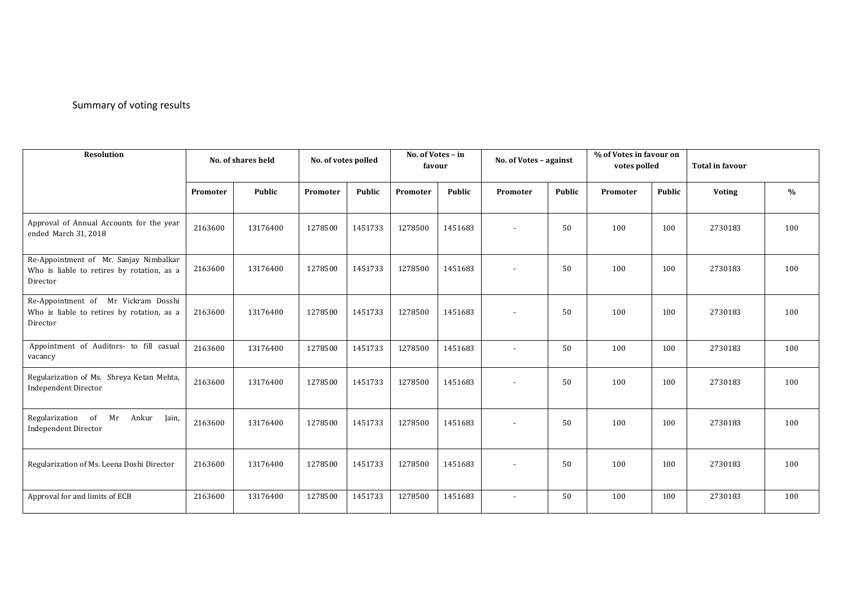## Summary of voting results

| <b>Resolution</b>                                                                                | No. of shares held |               | No. of votes polled |               | No. of Votes - in<br>favour |         | No. of Votes - against   |               | % of Votes in favour on<br>votes polled |               | <b>Total in favour</b> |      |
|--------------------------------------------------------------------------------------------------|--------------------|---------------|---------------------|---------------|-----------------------------|---------|--------------------------|---------------|-----------------------------------------|---------------|------------------------|------|
|                                                                                                  | Promoter           | <b>Public</b> | Promoter            | <b>Public</b> | Promoter                    | Public  | Promoter                 | <b>Public</b> | Promoter                                | <b>Public</b> | <b>Voting</b>          | $\%$ |
| Approval of Annual Accounts for the year<br>ended March 31, 2018                                 | 2163600            | 13176400      | 1278500             | 1451733       | 1278500                     | 1451683 | $\overline{\phantom{a}}$ | 50            | 100                                     | 100           | 2730183                | 100  |
| Re-Appointment of Mr. Sanjay Nimbalkar<br>Who is liable to retires by rotation, as a<br>Director | 2163600            | 13176400      | 1278500             | 1451733       | 1278500                     | 1451683 |                          | 50            | 100                                     | 100           | 2730183                | 100  |
| Re-Appointment of Mr Vickram Dosshi<br>Who is liable to retires by rotation, as a<br>Director    | 2163600            | 13176400      | 1278500             | 1451733       | 1278500                     | 1451683 |                          | 50            | 100                                     | 100           | 2730183                | 100  |
| Appointment of Auditors- to fill casual<br>vacancy                                               | 2163600            | 13176400      | 1278500             | 1451733       | 1278500                     | 1451683 | $\sim$                   | 50            | 100                                     | 100           | 2730183                | 100  |
| Regularization of Ms. Shreya Ketan Mehta,<br><b>Independent Director</b>                         | 2163600            | 13176400      | 1278500             | 1451733       | 1278500                     | 1451683 |                          | 50            | 100                                     | 100           | 2730183                | 100  |
| Regularization of<br>Mr<br>Ankur<br>Jain,<br><b>Independent Director</b>                         | 2163600            | 13176400      | 1278500             | 1451733       | 1278500                     | 1451683 |                          | 50            | 100                                     | 100           | 2730183                | 100  |
| Regularization of Ms. Leena Doshi Director                                                       | 2163600            | 13176400      | 1278500             | 1451733       | 1278500                     | 1451683 | $\overline{\phantom{a}}$ | 50            | 100                                     | 100           | 2730183                | 100  |
| Approval for and limits of ECB                                                                   | 2163600            | 13176400      | 1278500             | 1451733       | 1278500                     | 1451683 | $\overline{\phantom{a}}$ | 50            | 100                                     | 100           | 2730183                | 100  |